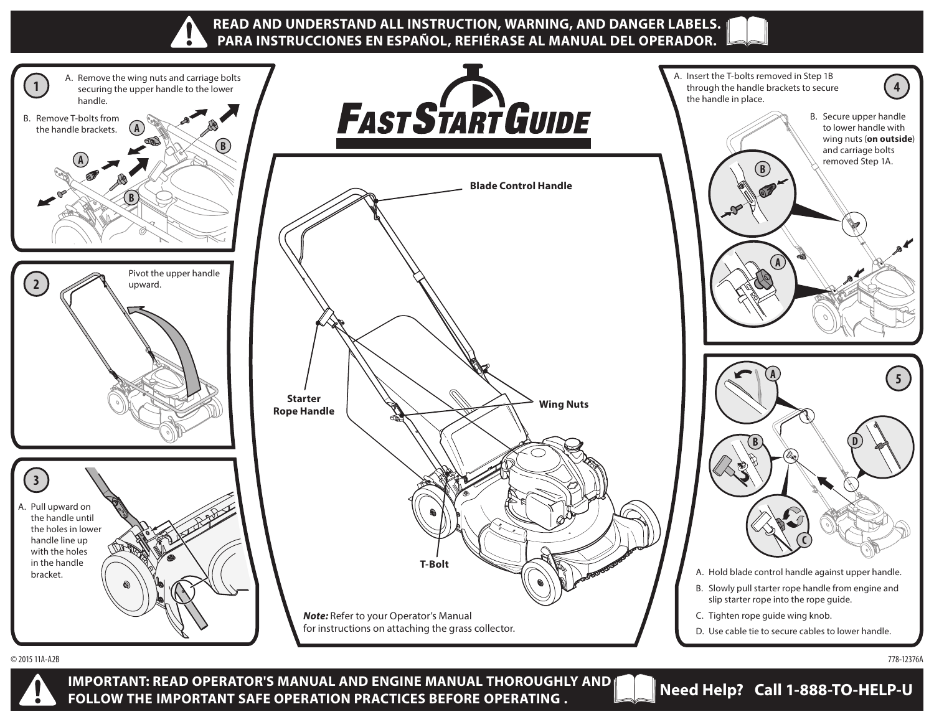

© 2015 11A-A2B 778-12376A



**IMPORTANT: READ OPERATOR'S MANUAL AND ENGINE MANUAL THOROUGHLY AND FOLLOW THE IMPORTANT SAFE OPERATION PRACTICES BEFORE OPERATING . Need Help? Call 1-888-TO-HELP-U**